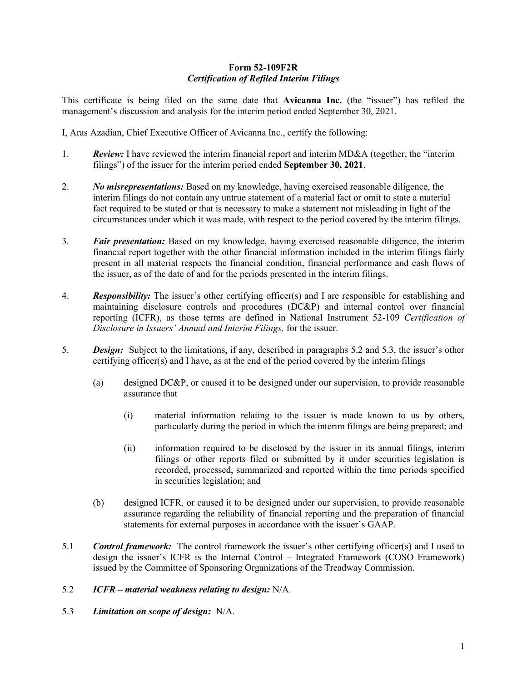## Form 52-109F2R Certification of Refiled Interim Filings

This certificate is being filed on the same date that Avicanna Inc. (the "issuer") has refiled the management's discussion and analysis for the interim period ended September 30, 2021.

I, Aras Azadian, Chief Executive Officer of Avicanna Inc., certify the following:

- 1. Review: I have reviewed the interim financial report and interim MD&A (together, the "interim filings") of the issuer for the interim period ended September 30, 2021.
- 2. No misrepresentations: Based on my knowledge, having exercised reasonable diligence, the interim filings do not contain any untrue statement of a material fact or omit to state a material fact required to be stated or that is necessary to make a statement not misleading in light of the circumstances under which it was made, with respect to the period covered by the interim filings.
- 3. Fair presentation: Based on my knowledge, having exercised reasonable diligence, the interim financial report together with the other financial information included in the interim filings fairly present in all material respects the financial condition, financial performance and cash flows of the issuer, as of the date of and for the periods presented in the interim filings.
- 4. Responsibility: The issuer's other certifying officer(s) and I are responsible for establishing and maintaining disclosure controls and procedures (DC&P) and internal control over financial reporting (ICFR), as those terms are defined in National Instrument 52-109 Certification of Disclosure in Issuers' Annual and Interim Filings, for the issuer.
- 5. Design: Subject to the limitations, if any, described in paragraphs 5.2 and 5.3, the issuer's other certifying officer(s) and I have, as at the end of the period covered by the interim filings
	- (a) designed DC&P, or caused it to be designed under our supervision, to provide reasonable assurance that
		- (i) material information relating to the issuer is made known to us by others, particularly during the period in which the interim filings are being prepared; and
		- (ii) information required to be disclosed by the issuer in its annual filings, interim filings or other reports filed or submitted by it under securities legislation is recorded, processed, summarized and reported within the time periods specified in securities legislation; and
	- (b) designed ICFR, or caused it to be designed under our supervision, to provide reasonable assurance regarding the reliability of financial reporting and the preparation of financial statements for external purposes in accordance with the issuer's GAAP.
- 5.1 **Control framework:** The control framework the issuer's other certifying officer(s) and I used to design the issuer's ICFR is the Internal Control – Integrated Framework (COSO Framework) issued by the Committee of Sponsoring Organizations of the Treadway Commission.
- 5.2 ICFR material weakness relating to design: N/A.
- 5.3 Limitation on scope of design: N/A.